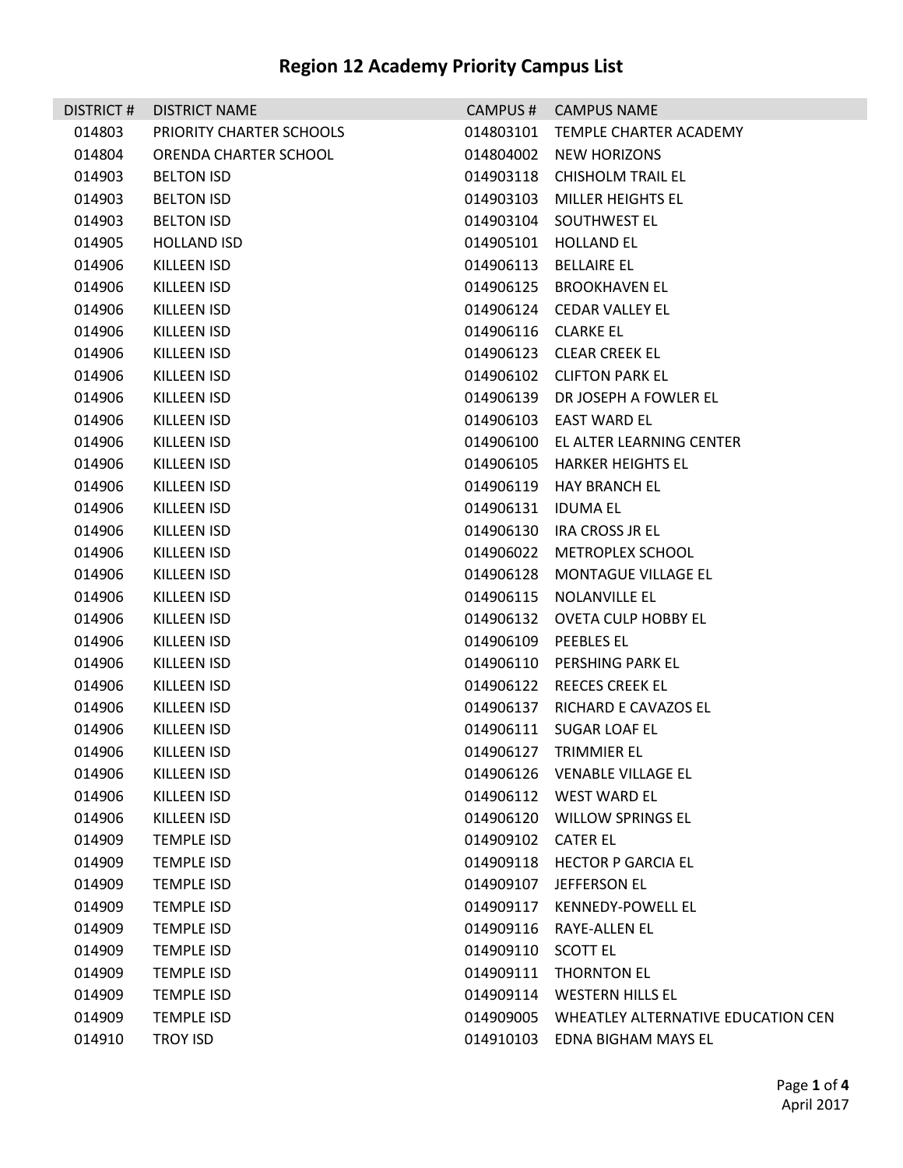|        | DISTRICT # DISTRICT NAME |                     | CAMPUS # CAMPUS NAME               |
|--------|--------------------------|---------------------|------------------------------------|
| 014803 | PRIORITY CHARTER SCHOOLS |                     | 014803101 TEMPLE CHARTER ACADEMY   |
| 014804 | ORENDA CHARTER SCHOOL    |                     | 014804002 NEW HORIZONS             |
| 014903 | <b>BELTON ISD</b>        |                     | 014903118 CHISHOLM TRAIL EL        |
| 014903 | <b>BELTON ISD</b>        |                     | 014903103 MILLER HEIGHTS EL        |
| 014903 | <b>BELTON ISD</b>        |                     | 014903104 SOUTHWEST EL             |
| 014905 | <b>HOLLAND ISD</b>       |                     | 014905101 HOLLAND EL               |
| 014906 | KILLEEN ISD              |                     | 014906113 BELLAIRE EL              |
| 014906 | KILLEEN ISD              |                     | 014906125 BROOKHAVEN EL            |
| 014906 | KILLEEN ISD              |                     | 014906124 CEDAR VALLEY EL          |
| 014906 | KILLEEN ISD              | 014906116 CLARKE EL |                                    |
| 014906 | KILLEEN ISD              |                     | 014906123 CLEAR CREEK EL           |
| 014906 | KILLEEN ISD              |                     | 014906102 CLIFTON PARK EL          |
| 014906 | KILLEEN ISD              |                     | 014906139 DR JOSEPH A FOWLER EL    |
| 014906 | KILLEEN ISD              |                     | 014906103 EAST WARD EL             |
| 014906 | KILLEEN ISD              |                     | 014906100 EL ALTER LEARNING CENTER |
| 014906 | <b>KILLEEN ISD</b>       |                     | 014906105 HARKER HEIGHTS EL        |
| 014906 | KILLEEN ISD              |                     | 014906119 HAY BRANCH EL            |
| 014906 | KILLEEN ISD              | 014906131 IDUMA EL  |                                    |
| 014906 | KILLEEN ISD              |                     | 014906130 IRA CROSS JR EL          |
| 014906 | KILLEEN ISD              |                     | 014906022 METROPLEX SCHOOL         |
| 014906 | KILLEEN ISD              |                     | 014906128 MONTAGUE VILLAGE EL      |
| 014906 | KILLEEN ISD              |                     | 014906115 NOLANVILLE EL            |
| 014906 | KILLEEN ISD              |                     | 014906132 OVETA CULP HOBBY EL      |
| 014906 | KILLEEN ISD              |                     | 014906109 PEEBLES EL               |
| 014906 | KILLEEN ISD              |                     | 014906110 PERSHING PARK EL         |
| 014906 | KILLEEN ISD              |                     | 014906122 REECES CREEK EL          |
| 014906 | KILLEEN ISD              |                     | 014906137 RICHARD E CAVAZOS EL     |
| 014906 | KILLEEN ISD              |                     | 014906111 SUGAR LOAF EL            |
| 014906 | KILLEEN ISD              |                     | 014906127 TRIMMIER EL              |
| 014906 | KILLEEN ISD              |                     | 014906126 VENABLE VILLAGE EL       |
| 014906 | KILLEEN ISD              |                     | 014906112 WEST WARD EL             |
| 014906 | KILLEEN ISD              | 014906120           | <b>WILLOW SPRINGS EL</b>           |
| 014909 | <b>TEMPLE ISD</b>        | 014909102 CATER EL  |                                    |
| 014909 | <b>TEMPLE ISD</b>        | 014909118           | <b>HECTOR P GARCIA EL</b>          |
| 014909 | <b>TEMPLE ISD</b>        | 014909107           | JEFFERSON EL                       |
| 014909 | <b>TEMPLE ISD</b>        | 014909117           | KENNEDY-POWELL EL                  |
| 014909 | <b>TEMPLE ISD</b>        | 014909116           | <b>RAYE-ALLEN EL</b>               |
| 014909 | <b>TEMPLE ISD</b>        | 014909110           | <b>SCOTT EL</b>                    |
| 014909 | <b>TEMPLE ISD</b>        |                     | 014909111 THORNTON EL              |
| 014909 | <b>TEMPLE ISD</b>        | 014909114           | <b>WESTERN HILLS EL</b>            |
| 014909 | <b>TEMPLE ISD</b>        | 014909005           | WHEATLEY ALTERNATIVE EDUCATION CEN |
| 014910 | <b>TROY ISD</b>          | 014910103           | EDNA BIGHAM MAYS EL                |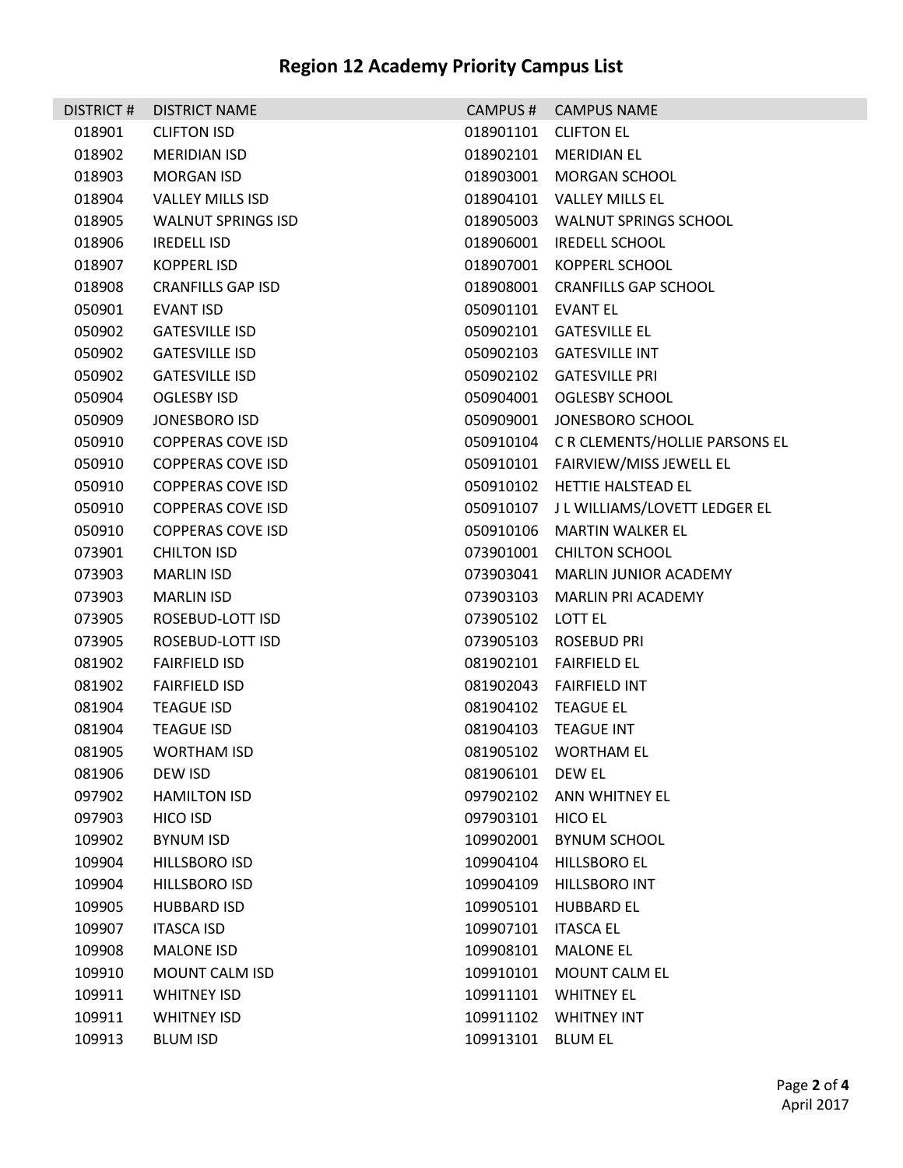| DISTRICT# | <b>DISTRICT NAME</b>      |                    | CAMPUS # CAMPUS NAME                    |
|-----------|---------------------------|--------------------|-----------------------------------------|
| 018901    | <b>CLIFTON ISD</b>        |                    | 018901101 CLIFTON EL                    |
| 018902    | <b>MERIDIAN ISD</b>       |                    | 018902101 MERIDIAN EL                   |
| 018903    | MORGAN ISD                |                    | 018903001 MORGAN SCHOOL                 |
| 018904    | VALLEY MILLS ISD          |                    | 018904101 VALLEY MILLS EL               |
| 018905    | <b>WALNUT SPRINGS ISD</b> |                    | 018905003 WALNUT SPRINGS SCHOOL         |
| 018906    | <b>IREDELL ISD</b>        |                    | 018906001 IREDELL SCHOOL                |
| 018907    | KOPPERL ISD               |                    | 018907001 KOPPERL SCHOOL                |
| 018908    | <b>CRANFILLS GAP ISD</b>  |                    | 018908001 CRANFILLS GAP SCHOOL          |
| 050901    | EVANT ISD                 | 050901101 EVANT EL |                                         |
| 050902    | <b>GATESVILLE ISD</b>     |                    | 050902101 GATESVILLE EL                 |
| 050902    | <b>GATESVILLE ISD</b>     |                    | 050902103 GATESVILLE INT                |
| 050902    | <b>GATESVILLE ISD</b>     |                    | 050902102 GATESVILLE PRI                |
| 050904    | <b>OGLESBY ISD</b>        |                    | 050904001 OGLESBY SCHOOL                |
| 050909    | JONESBORO ISD             |                    | 050909001 JONESBORO SCHOOL              |
| 050910    | <b>COPPERAS COVE ISD</b>  |                    | 050910104 CR CLEMENTS/HOLLIE PARSONS EL |
| 050910    | <b>COPPERAS COVE ISD</b>  |                    | 050910101 FAIRVIEW/MISS JEWELL EL       |
| 050910    | <b>COPPERAS COVE ISD</b>  |                    | 050910102 HETTIE HALSTEAD EL            |
| 050910    | <b>COPPERAS COVE ISD</b>  |                    | 050910107 J L WILLIAMS/LOVETT LEDGER EL |
| 050910    | <b>COPPERAS COVE ISD</b>  |                    | 050910106 MARTIN WALKER EL              |
| 073901    | <b>CHILTON ISD</b>        |                    | 073901001 CHILTON SCHOOL                |
| 073903    | <b>MARLIN ISD</b>         |                    | 073903041 MARLIN JUNIOR ACADEMY         |
| 073903    | <b>MARLIN ISD</b>         |                    | 073903103 MARLIN PRI ACADEMY            |
| 073905    | ROSEBUD-LOTT ISD          | 073905102 LOTT EL  |                                         |
| 073905    | ROSEBUD-LOTT ISD          |                    | 073905103 ROSEBUD PRI                   |
| 081902    | <b>FAIRFIELD ISD</b>      |                    | 081902101 FAIRFIELD EL                  |
| 081902    | <b>FAIRFIELD ISD</b>      |                    | 081902043 FAIRFIELD INT                 |
| 081904    | <b>TEAGUE ISD</b>         |                    | 081904102 TEAGUE EL                     |
| 081904    | <b>TEAGUE ISD</b>         |                    | 081904103 TEAGUE INT                    |
| 081905    | <b>WORTHAM ISD</b>        |                    | 081905102 WORTHAM EL                    |
| 081906    | DEW ISD                   | 081906101 DEW EL   |                                         |
| 097902    | <b>HAMILTON ISD</b>       | 097902102          | ANN WHITNEY EL                          |
| 097903    | HICO ISD                  | 097903101          | <b>HICO EL</b>                          |
| 109902    | <b>BYNUM ISD</b>          | 109902001          | <b>BYNUM SCHOOL</b>                     |
| 109904    | <b>HILLSBORO ISD</b>      | 109904104          | <b>HILLSBORO EL</b>                     |
| 109904    | <b>HILLSBORO ISD</b>      | 109904109          | <b>HILLSBORO INT</b>                    |
| 109905    | <b>HUBBARD ISD</b>        | 109905101          | <b>HUBBARD EL</b>                       |
| 109907    | <b>ITASCA ISD</b>         | 109907101          | <b>ITASCA EL</b>                        |
| 109908    | <b>MALONE ISD</b>         | 109908101          | <b>MALONE EL</b>                        |
| 109910    | MOUNT CALM ISD            | 109910101          | MOUNT CALM EL                           |
| 109911    | <b>WHITNEY ISD</b>        | 109911101          | <b>WHITNEY EL</b>                       |
| 109911    | <b>WHITNEY ISD</b>        | 109911102          | <b>WHITNEY INT</b>                      |
| 109913    | <b>BLUM ISD</b>           | 109913101          | <b>BLUM EL</b>                          |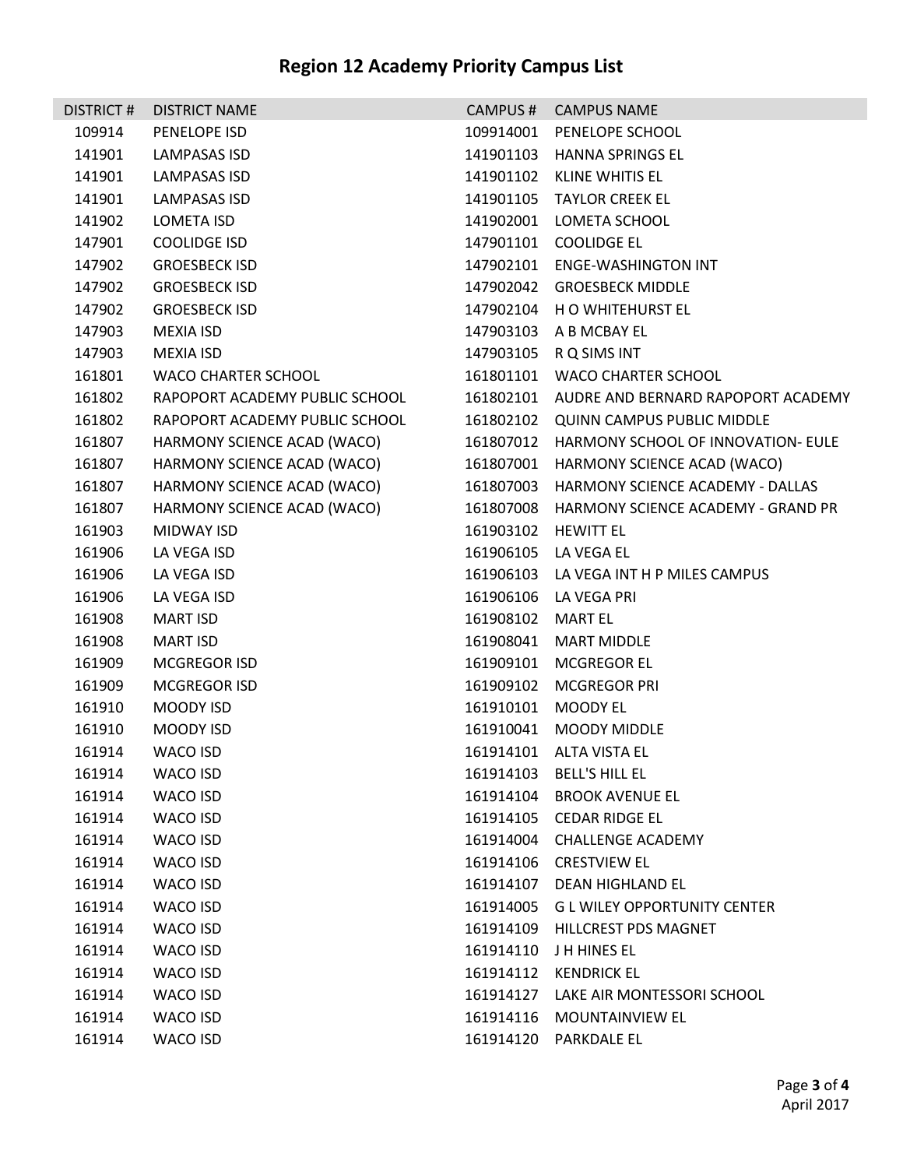| <b>DISTRICT#</b> | <b>DISTRICT NAME</b>           | CAMPUS#             | <b>CAMPUS NAME</b>                           |
|------------------|--------------------------------|---------------------|----------------------------------------------|
| 109914           | PENELOPE ISD                   | 109914001           | PENELOPE SCHOOL                              |
| 141901           | LAMPASAS ISD                   |                     | 141901103 HANNA SPRINGS EL                   |
| 141901           | <b>LAMPASAS ISD</b>            |                     | 141901102 KLINE WHITIS EL                    |
| 141901           | LAMPASAS ISD                   |                     | 141901105 TAYLOR CREEK EL                    |
| 141902           | <b>LOMETA ISD</b>              |                     | 141902001 LOMETA SCHOOL                      |
| 147901           | COOLIDGE ISD                   |                     | 147901101 COOLIDGE EL                        |
| 147902           | <b>GROESBECK ISD</b>           |                     | 147902101 ENGE-WASHINGTON INT                |
| 147902           | <b>GROESBECK ISD</b>           |                     | 147902042 GROESBECK MIDDLE                   |
| 147902           | <b>GROESBECK ISD</b>           |                     | 147902104 H O WHITEHURST EL                  |
| 147903           | <b>MEXIA ISD</b>               |                     | 147903103 A B MCBAY EL                       |
| 147903           | <b>MEXIA ISD</b>               | 147903105           | R Q SIMS INT                                 |
| 161801           | WACO CHARTER SCHOOL            |                     | 161801101 WACO CHARTER SCHOOL                |
| 161802           | RAPOPORT ACADEMY PUBLIC SCHOOL |                     | 161802101 AUDRE AND BERNARD RAPOPORT ACADEMY |
| 161802           | RAPOPORT ACADEMY PUBLIC SCHOOL |                     | 161802102 QUINN CAMPUS PUBLIC MIDDLE         |
| 161807           | HARMONY SCIENCE ACAD (WACO)    |                     | 161807012 HARMONY SCHOOL OF INNOVATION- EULE |
| 161807           | HARMONY SCIENCE ACAD (WACO)    | 161807001           | HARMONY SCIENCE ACAD (WACO)                  |
| 161807           | HARMONY SCIENCE ACAD (WACO)    |                     | 161807003 HARMONY SCIENCE ACADEMY - DALLAS   |
| 161807           | HARMONY SCIENCE ACAD (WACO)    |                     | 161807008 HARMONY SCIENCE ACADEMY - GRAND PR |
| 161903           | <b>MIDWAY ISD</b>              | 161903102 HEWITT EL |                                              |
| 161906           | LA VEGA ISD                    |                     | 161906105 LA VEGA EL                         |
| 161906           | LA VEGA ISD                    |                     | 161906103 LA VEGA INT H P MILES CAMPUS       |
| 161906           | LA VEGA ISD                    | 161906106           | LA VEGA PRI                                  |
| 161908           | <b>MART ISD</b>                | 161908102           | <b>MART EL</b>                               |
| 161908           | <b>MART ISD</b>                | 161908041           | <b>MART MIDDLE</b>                           |
| 161909           | <b>MCGREGOR ISD</b>            | 161909101           | <b>MCGREGOR EL</b>                           |
| 161909           | MCGREGOR ISD                   | 161909102           | MCGREGOR PRI                                 |
| 161910           | MOODY ISD                      | 161910101           | <b>MOODY EL</b>                              |
| 161910           | MOODY ISD                      | 161910041           | <b>MOODY MIDDLE</b>                          |
| 161914           | WACO ISD                       |                     | 161914101 ALTA VISTA EL                      |
| 161914           | WACO ISD                       | 161914103           | <b>BELL'S HILL EL</b>                        |
| 161914           | WACO ISD                       | 161914104           | <b>BROOK AVENUE EL</b>                       |
| 161914           | WACO ISD                       | 161914105           | CEDAR RIDGE EL                               |
| 161914           | WACO ISD                       | 161914004           | <b>CHALLENGE ACADEMY</b>                     |
| 161914           | WACO ISD                       | 161914106           | <b>CRESTVIEW EL</b>                          |
| 161914           | WACO ISD                       | 161914107           | DEAN HIGHLAND EL                             |
| 161914           | WACO ISD                       | 161914005           | <b>GL WILEY OPPORTUNITY CENTER</b>           |
| 161914           | WACO ISD                       | 161914109           | HILLCREST PDS MAGNET                         |
| 161914           | WACO ISD                       | 161914110           | J H HINES EL                                 |
| 161914           | WACO ISD                       | 161914112           | <b>KENDRICK EL</b>                           |
| 161914           | WACO ISD                       | 161914127           | LAKE AIR MONTESSORI SCHOOL                   |
| 161914           | WACO ISD                       | 161914116           | <b>MOUNTAINVIEW EL</b>                       |
| 161914           | WACO ISD                       | 161914120           | PARKDALE EL                                  |